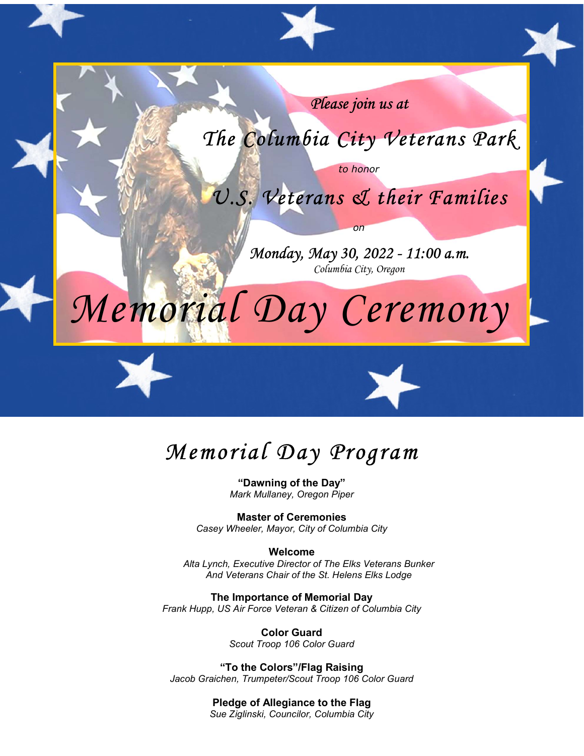

# Memorial Day Program

"Dawning of the Day" Mark Mullaney, Oregon Piper

Master of Ceremonies Casey Wheeler, Mayor, City of Columbia City

#### Welcome

Alta Lynch, Executive Director of The Elks Veterans Bunker And Veterans Chair of the St. Helens Elks Lodge

The Importance of Memorial Day Frank Hupp, US Air Force Veteran & Citizen of Columbia City

> Color Guard Scout Troop 106 Color Guard

"To the Colors"/Flag Raising Jacob Graichen, Trumpeter/Scout Troop 106 Color Guard

> Pledge of Allegiance to the Flag Sue Ziglinski, Councilor, Columbia City